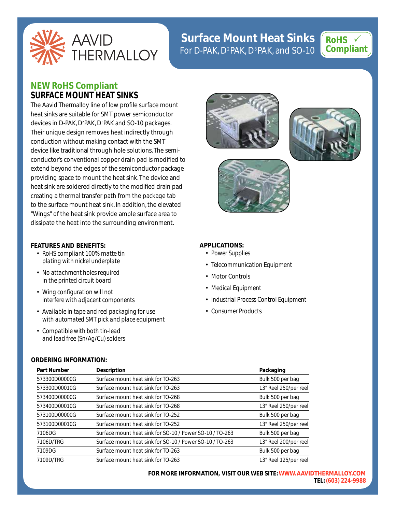

# **Surface Mount Heat Sinks**  For D-PAK, D<sup>2</sup>PAK, D<sup>3</sup>PAK, and SO-10



# **NEW RoHS Compliant SURFACE MOUNT HEAT SINKS**

The Aavid Thermalloy line of low profile surface mount heat sinks are suitable for SMT power semiconductor devices in D-PAK, D<sup>2</sup>PAK, D<sup>3</sup>PAK and SO-10 packages. Their unique design removes heat indirectly through conduction without making contact with the SMT device like traditional through hole solutions. The semiconductor's conventional copper drain pad is modified to extend beyond the edges of the semiconductor package providing space to mount the heat sink. The device and heat sink are soldered directly to the modified drain pad creating a thermal transfer path from the package tab to the surface mount heat sink. In addition, the elevated "Wings" of the heat sink provide ample surface area to dissipate the heat into the surrounding environment.

## **FEATURES AND BENEFITS:**

- *RoHS compliant 100% matte tin plating with nickel underplate*
- *No attachment holes required in the printed circuit board*
- *Wing configuration will not interfere with adjacent components*
- *Available in tape and reel packaging for use with automated SMT pick and place equipment*
- *Compatible with both tin-lead and lead free (Sn/Ag/Cu) solders*

## **ORDERING INFORMATION:**



**FOR MORE INFORMATION, VISIT OUR WEB SITE:WWW.AAVIDTHERMALLOY.COM TEL: (603) 224-9988**







# **APPLICATIONS:**

- *Power Supplies*
- *Telecommunication Equipment*
- *Motor Controls*
- *Medical Equipment*
- *Industrial Process Control Equipment*
- *Consumer Products*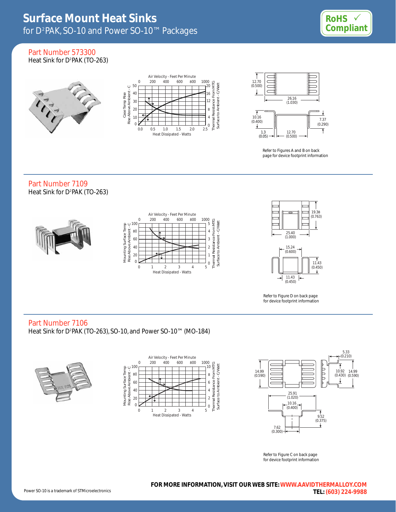

Part Number 573300 Heat Sink for D<sup>2</sup>PAK (TO-263)







Refer to Figures A and B on back page for device footprint information

# Part Number 7109 Heat Sink for D2 PAK (TO-263)





Refer to Figure D on back page for device footprint information

# Part Number 7106

Heat Sink for D?PAK (TO-263), SO-10, and Power SO-10™ (MO-184)







Refer to Figure C on back page for device footprint information

**FOR MORE INFORMATION, VISIT OUR WEB SITE:WWW.AAVIDTHERMALLOY.COM TEL: (603) 224-9988**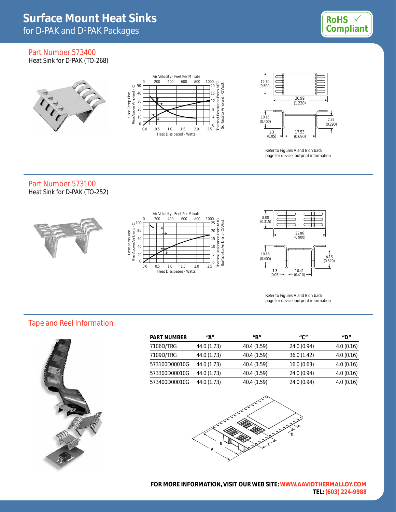

# Part Number 573400 Heat Sink for D<sup>3</sup>PAK (TO-268)





Refer to Figures A and B on back page for device footprint information

# Part Number 573100 Heat Sink for D-PAK (TO-252)







Refer to Figures A and B on back page for device footprint information

# Tape and Reel Information



| <b>PART NUMBER</b> | "А"         | $^{\prime\prime}$ B $^{\prime\prime}$ | "C"         | "D"       |
|--------------------|-------------|---------------------------------------|-------------|-----------|
| 7106D/TRG          | 44.0 (1.73) | 40.4 (1.59)                           | 24.0 (0.94) | 4.0(0.16) |
| 7109D/TRG          | 44.0 (1.73) | 40.4 (1.59)                           | 36.0(1.42)  | 4.0(0.16) |
| 573100D00010G      | 44.0 (1.73) | 40.4 (1.59)                           | 16.0(0.63)  | 4.0(0.16) |
| 573300D00010G      | 44.0 (1.73) | 40.4 (1.59)                           | 24.0 (0.94) | 4.0(0.16) |
| 573400D00010G      | 44.0 (1.73) | 40.4 (1.59)                           | 24.0 (0.94) | 4.0(0.16) |